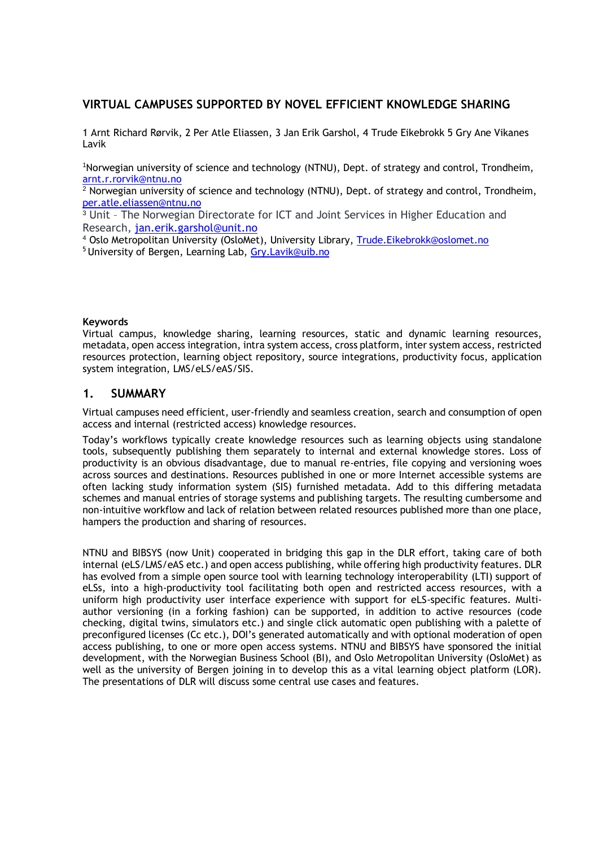## **VIRTUAL CAMPUSES SUPPORTED BY NOVEL EFFICIENT KNOWLEDGE SHARING**

1 Arnt Richard Rørvik, 2 Per Atle Eliassen, 3 Jan Erik Garshol, 4 Trude Eikebrokk 5 Gry Ane Vikanes Lavik

<sup>1</sup>Norwegian university of science and technology (NTNU), Dept. of strategy and control, Trondheim, [arnt.r.rorvik@ntnu.no](mailto:arnt.r.rorvik@ntnu.no)

 $2$  Norwegian university of science and technology (NTNU), Dept. of strategy and control, Trondheim, [per.atle.eliassen@ntnu.no](mailto:per.atle.eliassen@ntnu.no)

<sup>3</sup> Unit – The Norwegian Directorate for ICT and Joint Services in Higher Education and Research, [jan.erik.garshol@unit.no](mailto:jan.erik.garshol@unit.no)

<sup>4</sup> Oslo Metropolitan University (OsloMet), University Library, [Trude.Eikebrokk@oslomet.no](mailto:Trude.Eikebrokk@oslomet.no)

<sup>5</sup> University of Bergen, Learning Lab, Gry. Lavik@uib.no

#### **Keywords**

Virtual campus, knowledge sharing, learning resources, static and dynamic learning resources, metadata, open access integration, intra system access, cross platform, inter system access, restricted resources protection, learning object repository, source integrations, productivity focus, application system integration, LMS/eLS/eAS/SIS.

### **1. SUMMARY**

Virtual campuses need efficient, user-friendly and seamless creation, search and consumption of open access and internal (restricted access) knowledge resources.

Today's workflows typically create knowledge resources such as learning objects using standalone tools, subsequently publishing them separately to internal and external knowledge stores. Loss of productivity is an obvious disadvantage, due to manual re-entries, file copying and versioning woes across sources and destinations. Resources published in one or more Internet accessible systems are often lacking study information system (SIS) furnished metadata. Add to this differing metadata schemes and manual entries of storage systems and publishing targets. The resulting cumbersome and non-intuitive workflow and lack of relation between related resources published more than one place, hampers the production and sharing of resources.

NTNU and BIBSYS (now Unit) cooperated in bridging this gap in the DLR effort, taking care of both internal (eLS/LMS/eAS etc.) and open access publishing, while offering high productivity features. DLR has evolved from a simple open source tool with learning technology interoperability (LTI) support of eLSs, into a high-productivity tool facilitating both open and restricted access resources, with a uniform high productivity user interface experience with support for eLS-specific features. Multiauthor versioning (in a forking fashion) can be supported, in addition to active resources (code checking, digital twins, simulators etc.) and single click automatic open publishing with a palette of preconfigured licenses (Cc etc.), DOI's generated automatically and with optional moderation of open access publishing, to one or more open access systems. NTNU and BIBSYS have sponsored the initial development, with the Norwegian Business School (BI), and Oslo Metropolitan University (OsloMet) as well as the university of Bergen joining in to develop this as a vital learning object platform (LOR). The presentations of DLR will discuss some central use cases and features.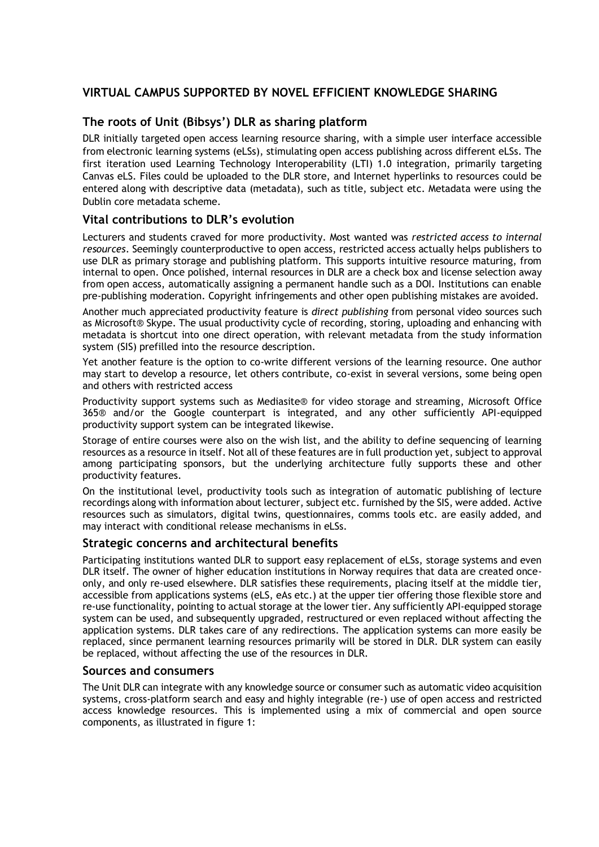# **VIRTUAL CAMPUS SUPPORTED BY NOVEL EFFICIENT KNOWLEDGE SHARING**

## **The roots of Unit (Bibsys') DLR as sharing platform**

DLR initially targeted open access learning resource sharing, with a simple user interface accessible from electronic learning systems (eLSs), stimulating open access publishing across different eLSs. The first iteration used Learning Technology Interoperability (LTI) 1.0 integration, primarily targeting Canvas eLS. Files could be uploaded to the DLR store, and Internet hyperlinks to resources could be entered along with descriptive data (metadata), such as title, subject etc. Metadata were using the Dublin core metadata scheme.

## **Vital contributions to DLR's evolution**

Lecturers and students craved for more productivity. Most wanted was *restricted access to internal resources*. Seemingly counterproductive to open access, restricted access actually helps publishers to use DLR as primary storage and publishing platform. This supports intuitive resource maturing, from internal to open. Once polished, internal resources in DLR are a check box and license selection away from open access, automatically assigning a permanent handle such as a DOI. Institutions can enable pre-publishing moderation. Copyright infringements and other open publishing mistakes are avoided.

Another much appreciated productivity feature is *direct publishing* from personal video sources such as Microsoft® Skype. The usual productivity cycle of recording, storing, uploading and enhancing with metadata is shortcut into one direct operation, with relevant metadata from the study information system (SIS) prefilled into the resource description.

Yet another feature is the option to co-write different versions of the learning resource. One author may start to develop a resource, let others contribute, co-exist in several versions, some being open and others with restricted access

Productivity support systems such as Mediasite® for video storage and streaming, Microsoft Office 365® and/or the Google counterpart is integrated, and any other sufficiently API-equipped productivity support system can be integrated likewise.

Storage of entire courses were also on the wish list, and the ability to define sequencing of learning resources as a resource in itself. Not all of these features are in full production yet, subject to approval among participating sponsors, but the underlying architecture fully supports these and other productivity features.

On the institutional level, productivity tools such as integration of automatic publishing of lecture recordings along with information about lecturer, subject etc. furnished by the SIS, were added. Active resources such as simulators, digital twins, questionnaires, comms tools etc. are easily added, and may interact with conditional release mechanisms in eLSs.

#### **Strategic concerns and architectural benefits**

Participating institutions wanted DLR to support easy replacement of eLSs, storage systems and even DLR itself. The owner of higher education institutions in Norway requires that data are created onceonly, and only re-used elsewhere. DLR satisfies these requirements, placing itself at the middle tier, accessible from applications systems (eLS, eAs etc.) at the upper tier offering those flexible store and re-use functionality, pointing to actual storage at the lower tier. Any sufficiently API-equipped storage system can be used, and subsequently upgraded, restructured or even replaced without affecting the application systems. DLR takes care of any redirections. The application systems can more easily be replaced, since permanent learning resources primarily will be stored in DLR. DLR system can easily be replaced, without affecting the use of the resources in DLR.

#### **Sources and consumers**

The Unit DLR can integrate with any knowledge source or consumer such as automatic video acquisition systems, cross-platform search and easy and highly integrable (re-) use of open access and restricted access knowledge resources. This is implemented using a mix of commercial and open source components, as illustrated in figure 1: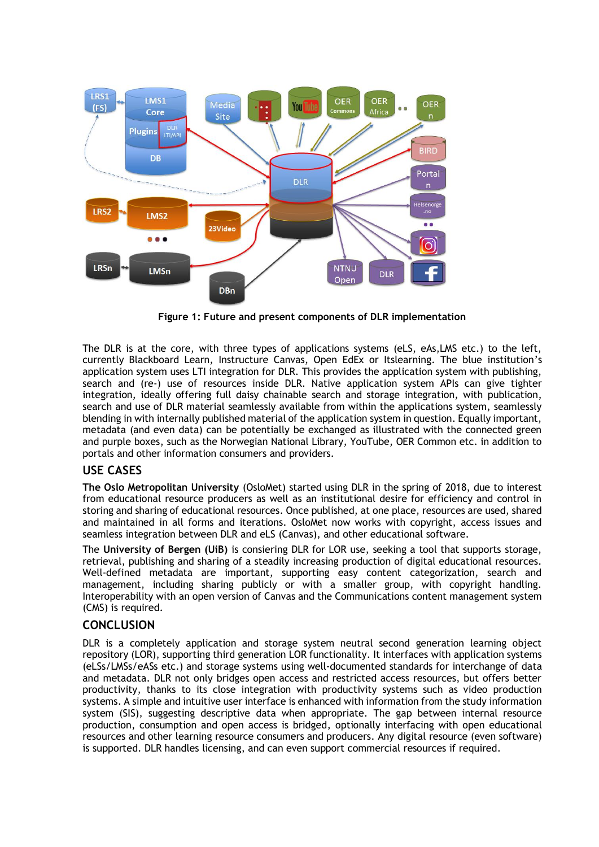

**Figure 1: Future and present components of DLR implementation**

The DLR is at the core, with three types of applications systems (eLS, eAs, LMS etc.) to the left, currently Blackboard Learn, Instructure Canvas, Open EdEx or Itslearning. The blue institution's application system uses LTI integration for DLR. This provides the application system with publishing, search and (re-) use of resources inside DLR. Native application system APIs can give tighter integration, ideally offering full daisy chainable search and storage integration, with publication, search and use of DLR material seamlessly available from within the applications system, seamlessly blending in with internally published material of the application system in question. Equally important, metadata (and even data) can be potentially be exchanged as illustrated with the connected green and purple boxes, such as the Norwegian National Library, YouTube, OER Common etc. in addition to portals and other information consumers and providers.

### **USE CASES**

**The Oslo Metropolitan University** (OsloMet) started using DLR in the spring of 2018, due to interest from educational resource producers as well as an institutional desire for efficiency and control in storing and sharing of educational resources. Once published, at one place, resources are used, shared and maintained in all forms and iterations. OsloMet now works with copyright, access issues and seamless integration between DLR and eLS (Canvas), and other educational software.

The **University of Bergen (UiB)** is consiering DLR for LOR use, seeking a tool that supports storage, retrieval, publishing and sharing of a steadily increasing production of digital educational resources. Well-defined metadata are important, supporting easy content categorization, search and management, including sharing publicly or with a smaller group, with copyright handling. Interoperability with an open version of Canvas and the Communications content management system (CMS) is required.

### **CONCLUSION**

DLR is a completely application and storage system neutral second generation learning object repository (LOR), supporting third generation LOR functionality. It interfaces with application systems (eLSs/LMSs/eASs etc.) and storage systems using well-documented standards for interchange of data and metadata. DLR not only bridges open access and restricted access resources, but offers better productivity, thanks to its close integration with productivity systems such as video production systems. A simple and intuitive user interface is enhanced with information from the study information system (SIS), suggesting descriptive data when appropriate. The gap between internal resource production, consumption and open access is bridged, optionally interfacing with open educational resources and other learning resource consumers and producers. Any digital resource (even software) is supported. DLR handles licensing, and can even support commercial resources if required.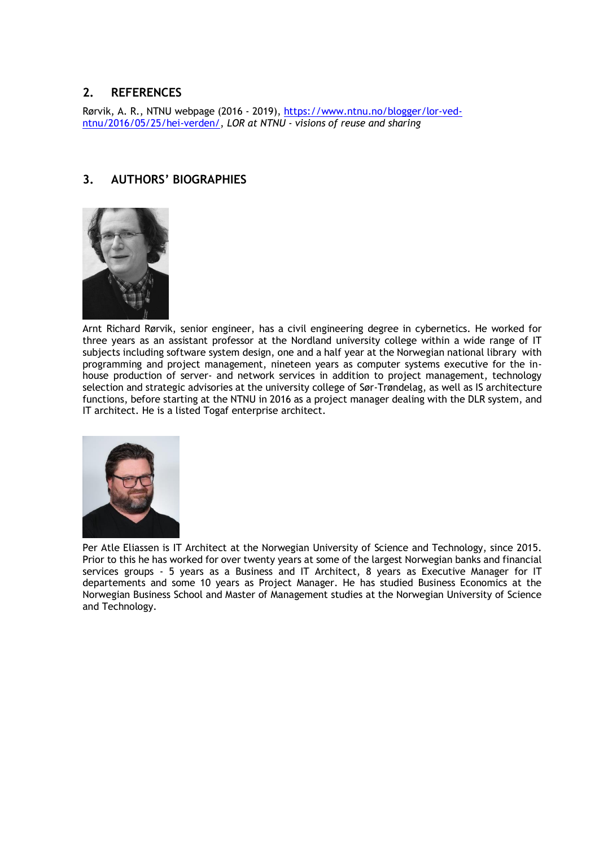# **2. REFERENCES**

Rørvik, A. R., NTNU webpage (2016 - 2019), [https://www.ntnu.no/blogger/lor-ved](https://www.ntnu.no/blogger/lor-ved-ntnu/2016/05/25/hei-verden/)[ntnu/2016/05/25/hei-verden/,](https://www.ntnu.no/blogger/lor-ved-ntnu/2016/05/25/hei-verden/) *LOR at NTNU - visions of reuse and sharing*

# **3. AUTHORS' BIOGRAPHIES**



Arnt Richard Rørvik, senior engineer, has a civil engineering degree in cybernetics. He worked for three years as an assistant professor at the Nordland university college within a wide range of IT subjects including software system design, one and a half year at the Norwegian national library with programming and project management, nineteen years as computer systems executive for the inhouse production of server- and network services in addition to project management, technology selection and strategic advisories at the university college of Sør-Trøndelag, as well as IS architecture functions, before starting at the NTNU in 2016 as a project manager dealing with the DLR system, and IT architect. He is a listed Togaf enterprise architect.



Per Atle Eliassen is IT Architect at the Norwegian University of Science and Technology, since 2015. Prior to this he has worked for over twenty years at some of the largest Norwegian banks and financial services groups - 5 years as a Business and IT Architect, 8 years as Executive Manager for IT departements and some 10 years as Project Manager. He has studied Business Economics at the Norwegian Business School and Master of Management studies at the Norwegian University of Science and Technology.